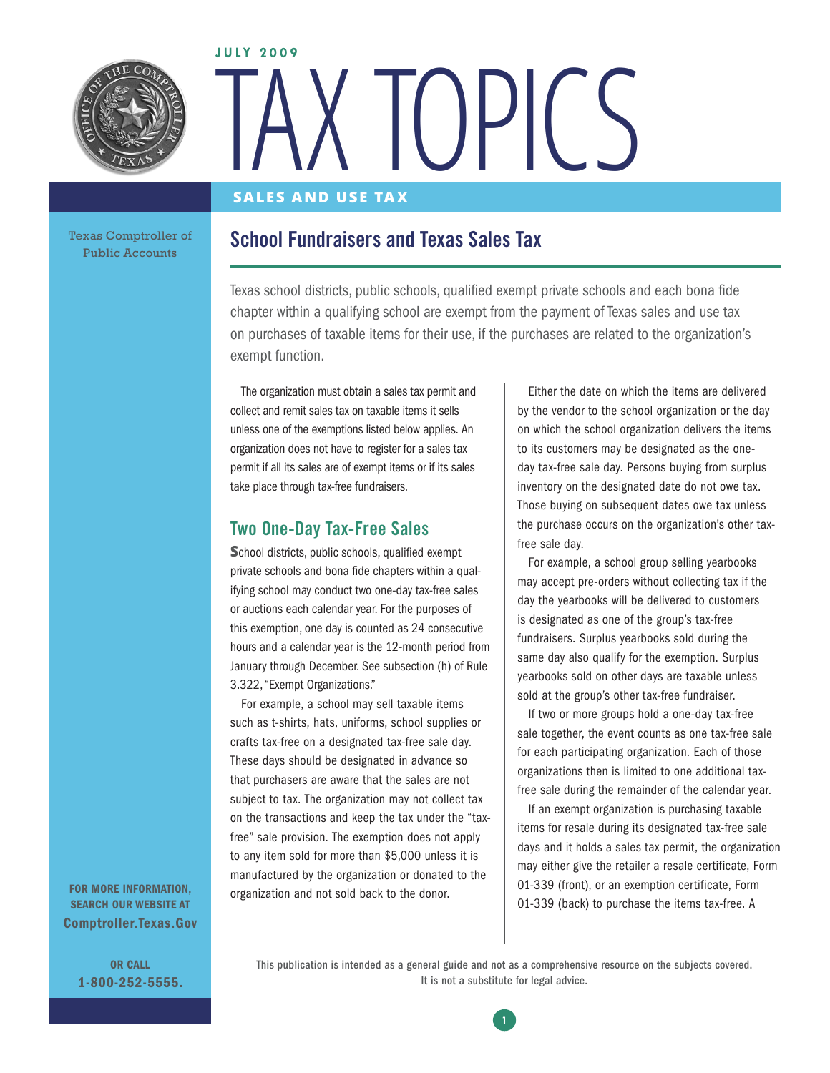

# **JULY 2009** X IOPICS

## **SALES AND USE TAX**

Texas Comptroller of Public Accounts

# School Fundraisers and Texas Sales Tax

Texas school districts, public schools, qualified exempt private schools and each bona fide chapter within a qualifying school are exempt from the payment of Texas sales and use tax on purchases of taxable items for their use, if the purchases are related to the organization's exempt function.

The organization must obtain a sales tax permit and collect and remit sales tax on taxable items it sells unless one of the exemptions listed below applies. An organization does not have to register for a sales tax permit if all its sales are of exempt items or if its sales take place through tax-free fundraisers.

# Two One-Day Tax-Free Sales

**S**chool districts, public schools, qualified exempt private schools and bona fide chapters within a qualifying school may conduct two one-day tax-free sales or auctions each calendar year. For the purposes of this exemption, one day is counted as 24 consecutive hours and a calendar year is the 12-month period from January through December. See subsection (h) of Rule 3.322, "Exempt Organizations."

For example, a school may sell taxable items such as t-shirts, hats, uniforms, school supplies or crafts tax-free on a designated tax-free sale day. These days should be designated in advance so that purchasers are aware that the sales are not subject to tax. The organization may not collect tax on the transactions and keep the tax under the "taxfree" sale provision. The exemption does not apply to any item sold for more than \$5,000 unless it is manufactured by the organization or donated to the organization and not sold back to the donor.

Either the date on which the items are delivered by the vendor to the school organization or the day on which the school organization delivers the items to its customers may be designated as the oneday tax-free sale day. Persons buying from surplus inventory on the designated date do not owe tax. Those buying on subsequent dates owe tax unless the purchase occurs on the organization's other taxfree sale day.

For example, a school group selling yearbooks may accept pre-orders without collecting tax if the day the yearbooks will be delivered to customers is designated as one of the group's tax-free fundraisers. Surplus yearbooks sold during the same day also qualify for the exemption. Surplus yearbooks sold on other days are taxable unless sold at the group's other tax-free fundraiser.

If two or more groups hold a one-day tax-free sale together, the event counts as one tax-free sale for each participating organization. Each of those organizations then is limited to one additional taxfree sale during the remainder of the calendar year.

If an exempt organization is purchasing taxable items for resale during its designated tax-free sale days and it holds a sales tax permit, the organization may either give the retailer a resale certificate, Form 01-339 (front), or an exemption certificate, Form 01-339 (back) to purchase the items tax-free. A

FOR MORE INFORMATION, SEARCH OUR WEBSITE AT <Comptroller.Texas.Gov>

> OR CALL 1-800-252-5555.

This publication is intended as a general guide and not as a comprehensive resource on the subjects covered. It is not a substitute for legal advice.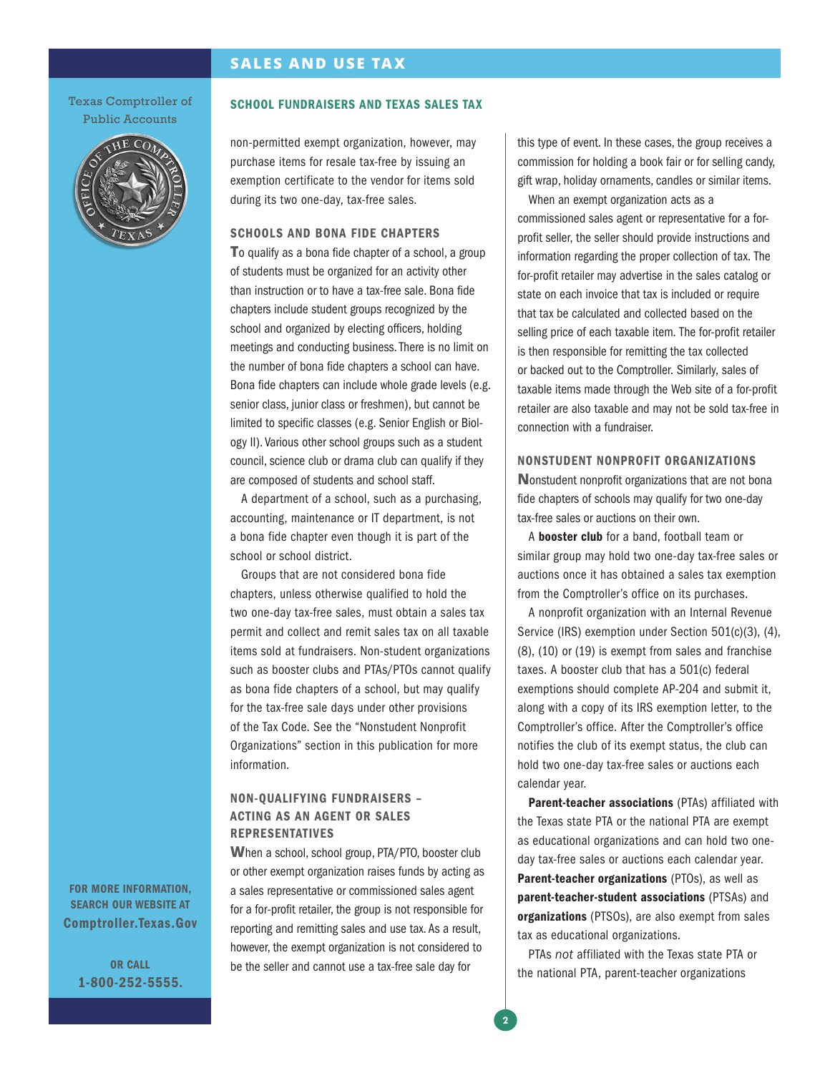Texas Comptroller of Public Accounts



#### SCHOOL FUNDRAISERS AND TEXAS SALES TAX

non-permitted exempt organization, however, may purchase items for resale tax-free by issuing an exemption certificate to the vendor for items sold during its two one-day, tax-free sales.

#### SCHOOLS AND BONA FIDE CHAPTERS

**T**o qualify as a bona fide chapter of a school, a group of students must be organized for an activity other than instruction or to have a tax-free sale. Bona fide chapters include student groups recognized by the school and organized by electing officers, holding meetings and conducting business. There is no limit on the number of bona fide chapters a school can have. Bona fide chapters can include whole grade levels (e.g. senior class, junior class or freshmen), but cannot be limited to specific classes (e.g. Senior English or Biology II). Various other school groups such as a student council, science club or drama club can qualify if they are composed of students and school staff.

A department of a school, such as a purchasing, accounting, maintenance or IT department, is not a bona fide chapter even though it is part of the school or school district.

Groups that are not considered bona fide chapters, unless otherwise qualified to hold the two one-day tax-free sales, must obtain a sales tax permit and collect and remit sales tax on all taxable items sold at fundraisers. Non-student organizations such as booster clubs and PTAs/PTOs cannot qualify as bona fide chapters of a school, but may qualify for the tax-free sale days under other provisions of the Tax Code. See the "Nonstudent Nonprofit Organizations" section in this publication for more information.

### NON-QUALIFYING FUNDRAISERS – ACTING AS AN AGENT OR SALES REPRESENTATIVES

**W**hen a school, school group, PTA/PTO, booster club or other exempt organization raises funds by acting as a sales representative or commissioned sales agent for a for-profit retailer, the group is not responsible for reporting and remitting sales and use tax. As a result, however, the exempt organization is not considered to be the seller and cannot use a tax-free sale day for

this type of event. In these cases, the group receives a commission for holding a book fair or for selling candy, gift wrap, holiday ornaments, candles or similar items.

When an exempt organization acts as a commissioned sales agent or representative for a forprofit seller, the seller should provide instructions and information regarding the proper collection of tax. The for-profit retailer may advertise in the sales catalog or state on each invoice that tax is included or require that tax be calculated and collected based on the selling price of each taxable item. The for-profit retailer is then responsible for remitting the tax collected or backed out to the Comptroller. Similarly, sales of taxable items made through the Web site of a for-profit retailer are also taxable and may not be sold tax-free in connection with a fundraiser.

#### NONSTUDENT NONPROFIT ORGANIZATIONS

**N**onstudent nonprofit organizations that are not bona fide chapters of schools may qualify for two one-day tax-free sales or auctions on their own.

A booster club for a band, football team or similar group may hold two one-day tax-free sales or auctions once it has obtained a sales tax exemption from the Comptroller's office on its purchases.

A nonprofit organization with an Internal Revenue Service (IRS) exemption under Section 501(c)(3), (4), (8), (10) or (19) is exempt from sales and franchise taxes. A booster club that has a 501(c) federal exemptions should complete AP-204 and submit it, along with a copy of its IRS exemption letter, to the Comptroller's office. After the Comptroller's office notifies the club of its exempt status, the club can hold two one-day tax-free sales or auctions each calendar year.

Parent-teacher associations (PTAs) affiliated with the Texas state PTA or the national PTA are exempt as educational organizations and can hold two oneday tax-free sales or auctions each calendar year. Parent-teacher organizations (PTOs), as well as parent-teacher-student associations (PTSAs) and organizations (PTSOs), are also exempt from sales tax as educational organizations.

PTAs *not* affiliated with the Texas state PTA or the national PTA, parent-teacher organizations

FOR MORE INFORMATION, SEARCH OUR WEBSITE AT Comptroller.Texas.Gov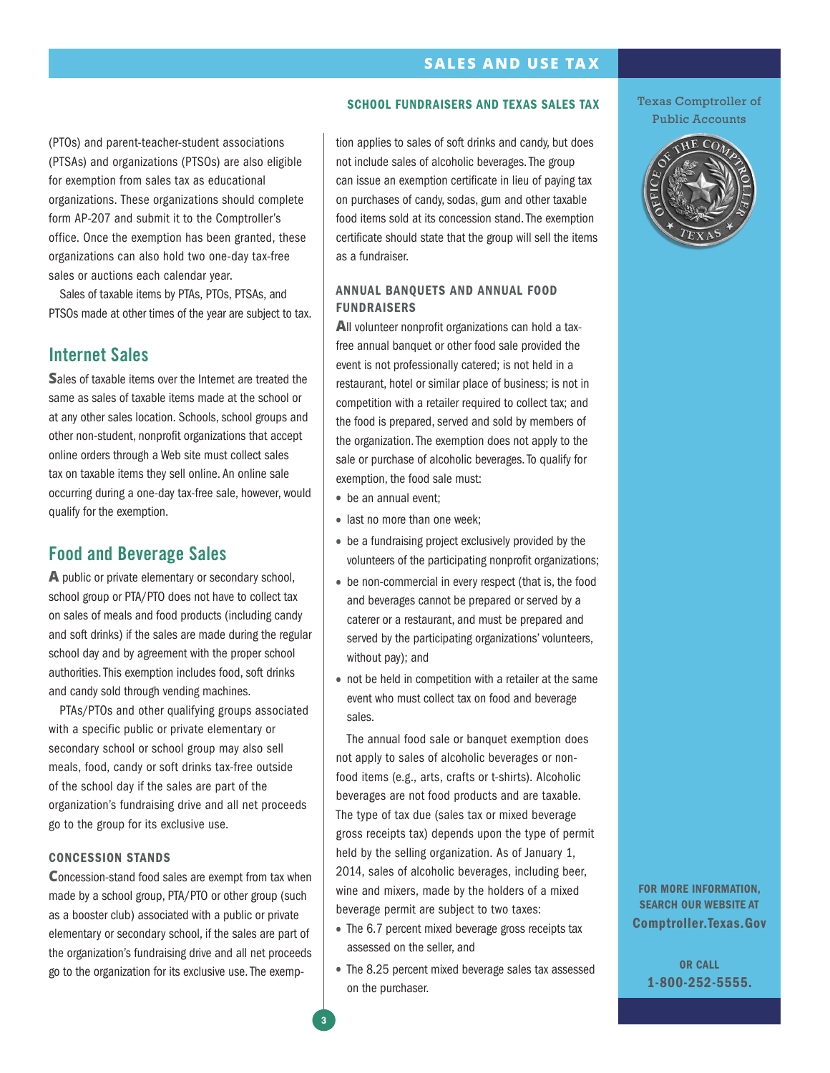#### SCHOOL FUNDRAISERS AND TEXAS SALES TAX

(PTOs) and parent-teacher-student associations (PTSAs) and organizations (PTSOs) are also eligible for exemption from sales tax as educational organizations. These organizations should complete form AP-207 and submit it to the Comptroller's office. Once the exemption has been granted, these organizations can also hold two one-day tax-free sales or auctions each calendar year.

Sales of taxable items by PTAs, PTOs, PTSAs, and PTSOs made at other times of the year are subject to tax.

## Internet Sales

**S**ales of taxable items over the Internet are treated the same as sales of taxable items made at the school or at any other sales location. Schools, school groups and other non-student, nonprofit organizations that accept online orders through a Web site must collect sales tax on taxable items they sell online. An online sale occurring during a one-day tax-free sale, however, would qualify for the exemption.

# Food and Beverage Sales

**A** public or private elementary or secondary school, school group or PTA/PTO does not have to collect tax on sales of meals and food products (including candy and soft drinks) if the sales are made during the regular school day and by agreement with the proper school authorities. This exemption includes food, soft drinks and candy sold through vending machines.

PTAs/PTOs and other qualifying groups associated with a specific public or private elementary or secondary school or school group may also sell meals, food, candy or soft drinks tax-free outside of the school day if the sales are part of the organization's fundraising drive and all net proceeds go to the group for its exclusive use.

#### CONCESSION STANDS

**C**oncession-stand food sales are exempt from tax when made by a school group, PTA/PTO or other group (such as a booster club) associated with a public or private elementary or secondary school, if the sales are part of the organization's fundraising drive and all net proceeds go to the organization for its exclusive use. The exemption applies to sales of soft drinks and candy, but does not include sales of alcoholic beverages. The group can issue an exemption certificate in lieu of paying tax on purchases of candy, sodas, gum and other taxable food items sold at its concession stand. The exemption certificate should state that the group will sell the items as a fundraiser.

## ANNUAL BANQUETS AND ANNUAL FOOD FUNDRAISERS

**A**ll volunteer nonprofit organizations can hold a taxfree annual banquet or other food sale provided the event is not professionally catered; is not held in a restaurant, hotel or similar place of business; is not in competition with a retailer required to collect tax; and the food is prepared, served and sold by members of the organization. The exemption does not apply to the sale or purchase of alcoholic beverages. To qualify for exemption, the food sale must:

- be an annual event;
- **•** last no more than one week;
- **•** be a fundraising project exclusively provided by the volunteers of the participating nonprofit organizations;
- **•** be non-commercial in every respect (that is, the food and beverages cannot be prepared or served by a caterer or a restaurant, and must be prepared and served by the participating organizations' volunteers, without pay); and
- **•** not be held in competition with a retailer at the same event who must collect tax on food and beverage sales.

The annual food sale or banquet exemption does not apply to sales of alcoholic beverages or nonfood items (e.g., arts, crafts or t-shirts). Alcoholic beverages are not food products and are taxable. The type of tax due (sales tax or mixed beverage gross receipts tax) depends upon the type of permit held by the selling organization. As of January 1, 2014, sales of alcoholic beverages, including beer, wine and mixers, made by the holders of a mixed beverage permit are subject to two taxes:

- **•** The 6.7 percent mixed beverage gross receipts tax assessed on the seller, and
- **•** The 8.25 percent mixed beverage sales tax assessed on the purchaser.

#### Texas Comptroller of Public Accounts



FOR MORE INFORMATION, SEARCH OUR WEBSITE AT Comptroller.Texas.Gov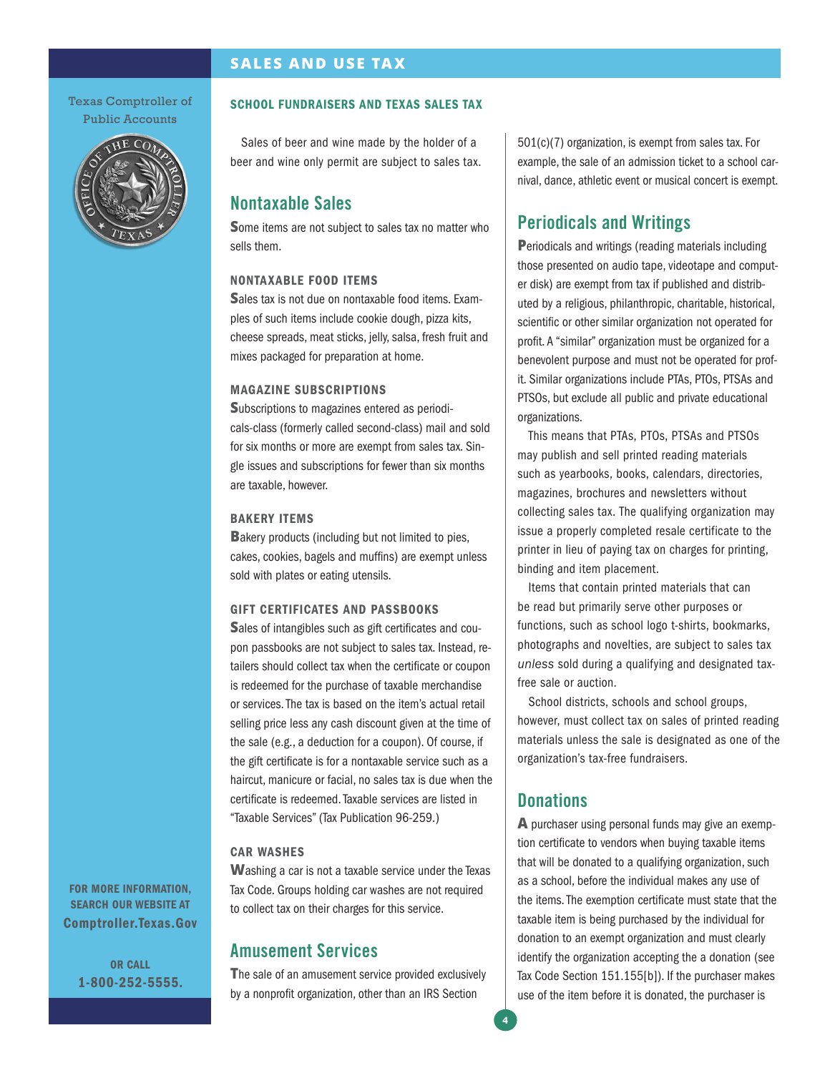Texas Comptroller of Public Accounts



#### SCHOOL FUNDRAISERS AND TEXAS SALES TAX

Sales of beer and wine made by the holder of a beer and wine only permit are subject to sales tax.

## Nontaxable Sales

**S**ome items are not subject to sales tax no matter who sells them.

#### NONTAXABLE FOOD ITEMS

Sales tax is not due on nontaxable food items. Examples of such items include cookie dough, pizza kits, cheese spreads, meat sticks, jelly, salsa, fresh fruit and mixes packaged for preparation at home.

#### MAGAZINE SUBSCRIPTIONS

**S**ubscriptions to magazines entered as periodicals-class (formerly called second-class) mail and sold for six months or more are exempt from sales tax. Single issues and subscriptions for fewer than six months are taxable, however.

#### BAKERY ITEMS

**B**akery products (including but not limited to pies, cakes, cookies, bagels and muffins) are exempt unless sold with plates or eating utensils.

#### GIFT CERTIFICATES AND PASSBOOKS

**S**ales of intangibles such as gift certificates and coupon passbooks are not subject to sales tax. Instead, retailers should collect tax when the certificate or coupon is redeemed for the purchase of taxable merchandise or services. The tax is based on the item's actual retail selling price less any cash discount given at the time of the sale (e.g., a deduction for a coupon). Of course, if the gift certificate is for a nontaxable service such as a haircut, manicure or facial, no sales tax is due when the certificate is redeemed. Taxable services are listed in "Taxable Services" [\(Tax Publication 96-259](http://www.window.state.tx.us/taxinfo/taxpubs/tx96_259.html).)

#### CAR WASHES

**W**ashing a car is not a taxable service under the Texas Tax Code. Groups holding car washes are not required to collect tax on their charges for this service.

# Amusement Services

**T**he sale of an amusement service provided exclusively by a nonprofit organization, other than an IRS Section

501(c)(7) organization, is exempt from sales tax. For example, the sale of an admission ticket to a school carnival, dance, athletic event or musical concert is exempt.

## Periodicals and Writings

**P**eriodicals and writings (reading materials including those presented on audio tape, videotape and computer disk) are exempt from tax if published and distributed by a religious, philanthropic, charitable, historical, scientific or other similar organization not operated for profit. A "similar" organization must be organized for a benevolent purpose and must not be operated for profit. Similar organizations include PTAs, PTOs, PTSAs and PTSOs, but exclude all public and private educational organizations.

This means that PTAs, PTOs, PTSAs and PTSOs may publish and sell printed reading materials such as yearbooks, books, calendars, directories, magazines, brochures and newsletters without collecting sales tax. The qualifying organization may issue a properly completed resale certificate to the printer in lieu of paying tax on charges for printing, binding and item placement.

Items that contain printed materials that can be read but primarily serve other purposes or functions, such as school logo t-shirts, bookmarks, photographs and novelties, are subject to sales tax *unless* sold during a qualifying and designated taxfree sale or auction.

School districts, schools and school groups, however, must collect tax on sales of printed reading materials unless the sale is designated as one of the organization's tax-free fundraisers.

## **Donations**

**A** purchaser using personal funds may give an exemption certificate to vendors when buying taxable items that will be donated to a qualifying organization, such as a school, before the individual makes any use of the items. The exemption certificate must state that the taxable item is being purchased by the individual for donation to an exempt organization and must clearly identify the organization accepting the a donation (see Tax Code Section 151.155[b]). If the purchaser makes use of the item before it is donated, the purchaser is

FOR MORE INFORMATION, SEARCH OUR WEBSITE AT Comptroller.Texas.Gov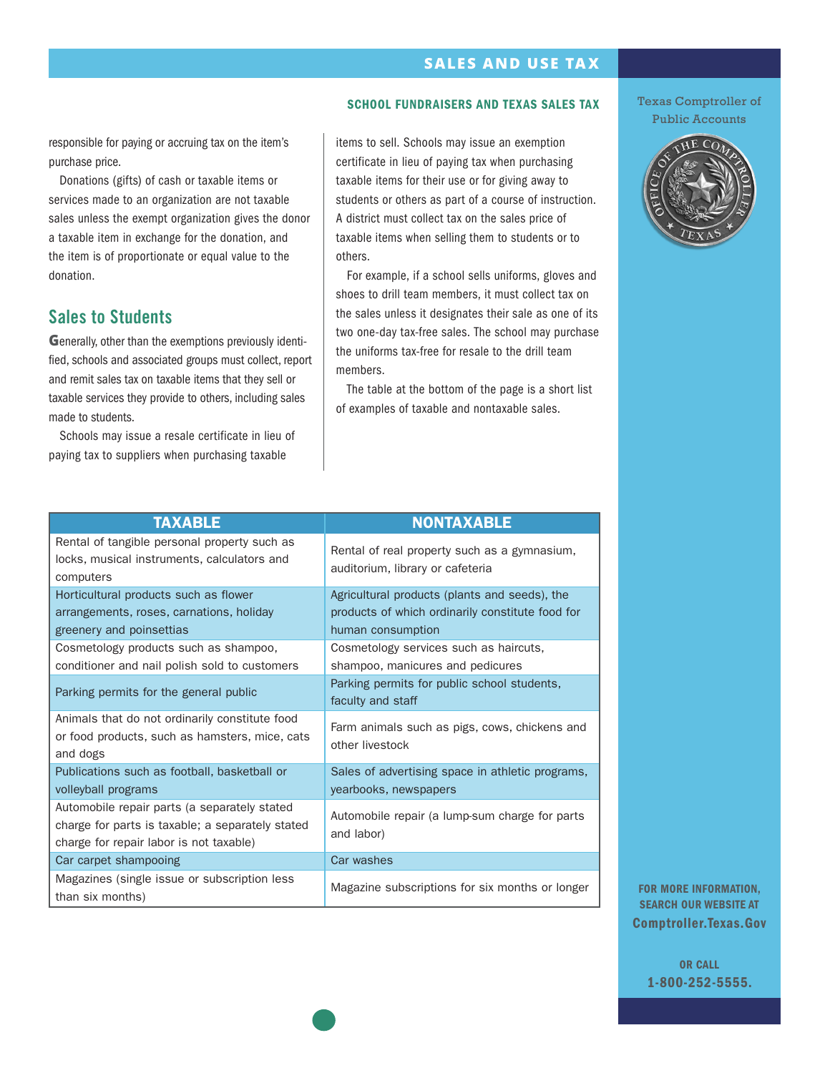#### SCHOOL FUNDRAISERS AND TEXAS SALES TAX

responsible for paying or accruing tax on the item's purchase price.

Donations (gifts) of cash or taxable items or services made to an organization are not taxable sales unless the exempt organization gives the donor a taxable item in exchange for the donation, and the item is of proportionate or equal value to the donation.

## Sales to Students

**G**enerally, other than the exemptions previously identified, schools and associated groups must collect, report and remit sales tax on taxable items that they sell or taxable services they provide to others, including sales made to students.

Schools may issue a resale certificate in lieu of paying tax to suppliers when purchasing taxable

items to sell. Schools may issue an exemption certificate in lieu of paying tax when purchasing taxable items for their use or for giving away to students or others as part of a course of instruction. A district must collect tax on the sales price of taxable items when selling them to students or to others.

For example, if a school sells uniforms, gloves and shoes to drill team members, it must collect tax on the sales unless it designates their sale as one of its two one-day tax-free sales. The school may purchase the uniforms tax-free for resale to the drill team members.

The table at the bottom of the page is a short list of examples of taxable and nontaxable sales.

#### Texas Comptroller of Public Accounts



| <b>TAXABLE</b>                                                                                                                              | <b>NONTAXABLE</b>                                                                                                      |
|---------------------------------------------------------------------------------------------------------------------------------------------|------------------------------------------------------------------------------------------------------------------------|
| Rental of tangible personal property such as<br>locks, musical instruments, calculators and<br>computers                                    | Rental of real property such as a gymnasium,<br>auditorium, library or cafeteria                                       |
| Horticultural products such as flower<br>arrangements, roses, carnations, holiday<br>greenery and poinsettias                               | Agricultural products (plants and seeds), the<br>products of which ordinarily constitute food for<br>human consumption |
| Cosmetology products such as shampoo,<br>conditioner and nail polish sold to customers                                                      | Cosmetology services such as haircuts,<br>shampoo, manicures and pedicures                                             |
| Parking permits for the general public                                                                                                      | Parking permits for public school students,<br>faculty and staff                                                       |
| Animals that do not ordinarily constitute food<br>or food products, such as hamsters, mice, cats<br>and dogs                                | Farm animals such as pigs, cows, chickens and<br>other livestock                                                       |
| Publications such as football, basketball or<br>volleyball programs                                                                         | Sales of advertising space in athletic programs,<br>yearbooks, newspapers                                              |
| Automobile repair parts (a separately stated<br>charge for parts is taxable; a separately stated<br>charge for repair labor is not taxable) | Automobile repair (a lump-sum charge for parts<br>and labor)                                                           |
| Car carpet shampooing                                                                                                                       | Car washes                                                                                                             |
| Magazines (single issue or subscription less)<br>than six months)                                                                           | Magazine subscriptions for six months or longer                                                                        |

FOR MORE INFORMATION, SEARCH OUR WEBSITE AT Comptroller.Texas.Gov